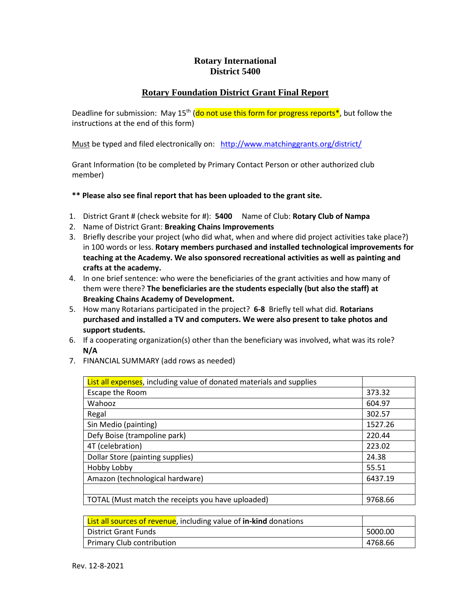## **Rotary International District 5400**

## **Rotary Foundation District Grant Final Report**

Deadline for submission: May 15<sup>th</sup> (do not use this form for progress reports\*, but follow the instructions at the end of this form)

Must be typed and filed electronically on: <http://www.matchinggrants.org/district/>

Grant Information (to be completed by Primary Contact Person or other authorized club member)

## **\*\* Please also see final report that has been uploaded to the grant site.**

- 1. District Grant # (check website for #): **5400** Name of Club: **Rotary Club of Nampa**
- 2. Name of District Grant: **Breaking Chains Improvements**
- 3. Briefly describe your project (who did what, when and where did project activities take place?) in 100 words or less. **Rotary members purchased and installed technological improvements for teaching at the Academy. We also sponsored recreational activities as well as painting and crafts at the academy.**
- 4. In one brief sentence: who were the beneficiaries of the grant activities and how many of them were there? **The beneficiaries are the students especially (but also the staff) at Breaking Chains Academy of Development.**
- 5. How many Rotarians participated in the project? **6-8** Briefly tell what did. **Rotarians purchased and installed a TV and computers. We were also present to take photos and support students.**
- 6. If a cooperating organization(s) other than the beneficiary was involved, what was its role? **N/A**
- 7. FINANCIAL SUMMARY (add rows as needed)

| <b>List all expenses</b> , including value of donated materials and supplies |         |
|------------------------------------------------------------------------------|---------|
| Escape the Room                                                              | 373.32  |
| Wahooz                                                                       | 604.97  |
| Regal                                                                        | 302.57  |
| Sin Medio (painting)                                                         | 1527.26 |
| Defy Boise (trampoline park)                                                 | 220.44  |
| 4T (celebration)                                                             | 223.02  |
| Dollar Store (painting supplies)                                             | 24.38   |
| Hobby Lobby                                                                  | 55.51   |
| Amazon (technological hardware)                                              | 6437.19 |
|                                                                              |         |
| TOTAL (Must match the receipts you have uploaded)                            | 9768.66 |

| List all sources of revenue, including value of in-kind donations |         |
|-------------------------------------------------------------------|---------|
| l District Grant Funds                                            | 5000.00 |
| Primary Club contribution                                         | 4768.66 |